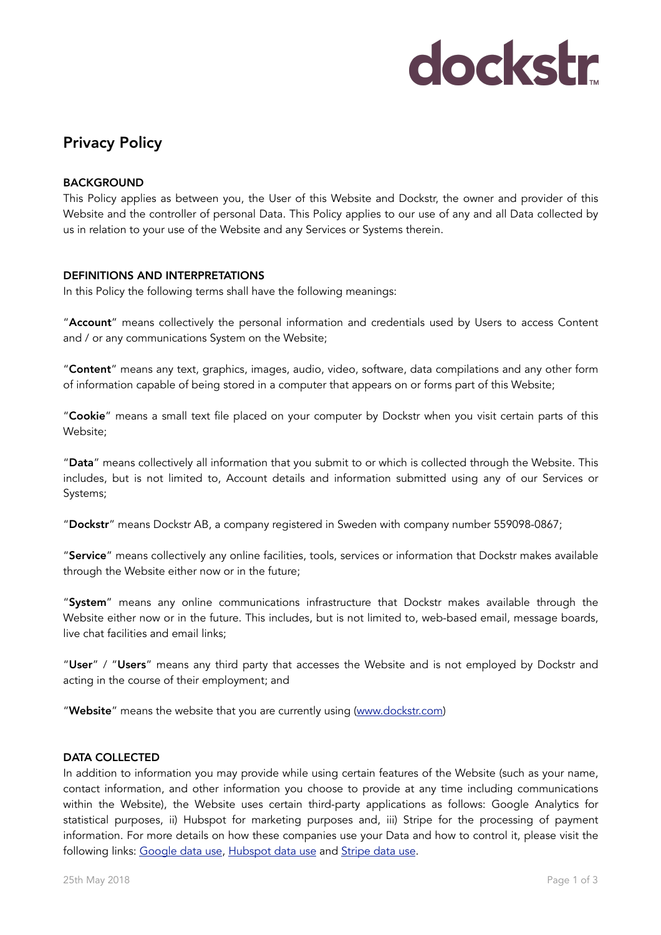# dockstr

### Privacy Policy

#### **BACKGROUND**

This Policy applies as between you, the User of this Website and Dockstr, the owner and provider of this Website and the controller of personal Data. This Policy applies to our use of any and all Data collected by us in relation to your use of the Website and any Services or Systems therein.

#### DEFINITIONS AND INTERPRETATIONS

In this Policy the following terms shall have the following meanings:

"Account" means collectively the personal information and credentials used by Users to access Content and / or any communications System on the Website;

"Content" means any text, graphics, images, audio, video, software, data compilations and any other form of information capable of being stored in a computer that appears on or forms part of this Website;

"Cookie" means a small text file placed on your computer by Dockstr when you visit certain parts of this Website;

"Data" means collectively all information that you submit to or which is collected through the Website. This includes, but is not limited to, Account details and information submitted using any of our Services or Systems;

"Dockstr" means Dockstr AB, a company registered in Sweden with company number 559098-0867;

"Service" means collectively any online facilities, tools, services or information that Dockstr makes available through the Website either now or in the future;

"System" means any online communications infrastructure that Dockstr makes available through the Website either now or in the future. This includes, but is not limited to, web-based email, message boards, live chat facilities and email links;

"User" / "Users" means any third party that accesses the Website and is not employed by Dockstr and acting in the course of their employment; and

"Website" means the website that you are currently using (www.dockstr.com)

#### DATA COLLECTED

In addition to information you may provide while using certain features of the Website (such as your name, contact information, and other information you choose to provide at any time including communications within the Website), the Website uses certain third-party applications as follows: Google Analytics for statistical purposes, ii) Hubspot for marketing purposes and, iii) Stripe for the processing of payment information. For more details on how these companies use your Data and how to control it, please visit the following links: Google data use, Hubspot data use and Stripe data use.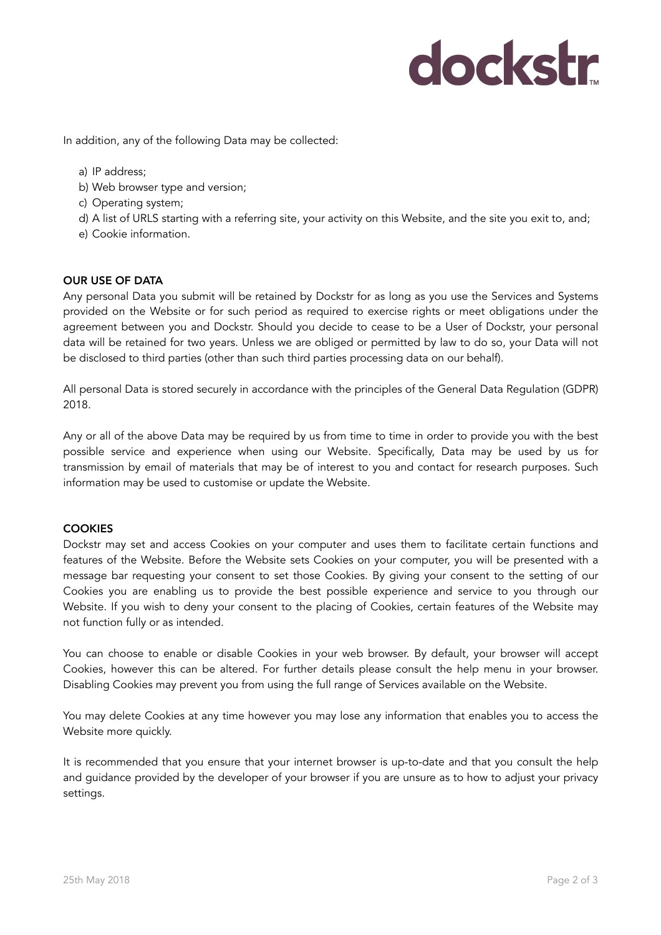# dockstr

In addition, any of the following Data may be collected:

- a) IP address;
- b) Web browser type and version;
- c) Operating system;
- d) A list of URLS starting with a referring site, your activity on this Website, and the site you exit to, and;
- e) Cookie information.

#### OUR USE OF DATA

Any personal Data you submit will be retained by Dockstr for as long as you use the Services and Systems provided on the Website or for such period as required to exercise rights or meet obligations under the agreement between you and Dockstr. Should you decide to cease to be a User of Dockstr, your personal data will be retained for two years. Unless we are obliged or permitted by law to do so, your Data will not be disclosed to third parties (other than such third parties processing data on our behalf).

All personal Data is stored securely in accordance with the principles of the General Data Regulation (GDPR) 2018.

Any or all of the above Data may be required by us from time to time in order to provide you with the best possible service and experience when using our Website. Specifically, Data may be used by us for transmission by email of materials that may be of interest to you and contact for research purposes. Such information may be used to customise or update the Website.

#### **COOKIES**

Dockstr may set and access Cookies on your computer and uses them to facilitate certain functions and features of the Website. Before the Website sets Cookies on your computer, you will be presented with a message bar requesting your consent to set those Cookies. By giving your consent to the setting of our Cookies you are enabling us to provide the best possible experience and service to you through our Website. If you wish to deny your consent to the placing of Cookies, certain features of the Website may not function fully or as intended.

You can choose to enable or disable Cookies in your web browser. By default, your browser will accept Cookies, however this can be altered. For further details please consult the help menu in your browser. Disabling Cookies may prevent you from using the full range of Services available on the Website.

You may delete Cookies at any time however you may lose any information that enables you to access the Website more quickly.

It is recommended that you ensure that your internet browser is up-to-date and that you consult the help and guidance provided by the developer of your browser if you are unsure as to how to adjust your privacy settings.